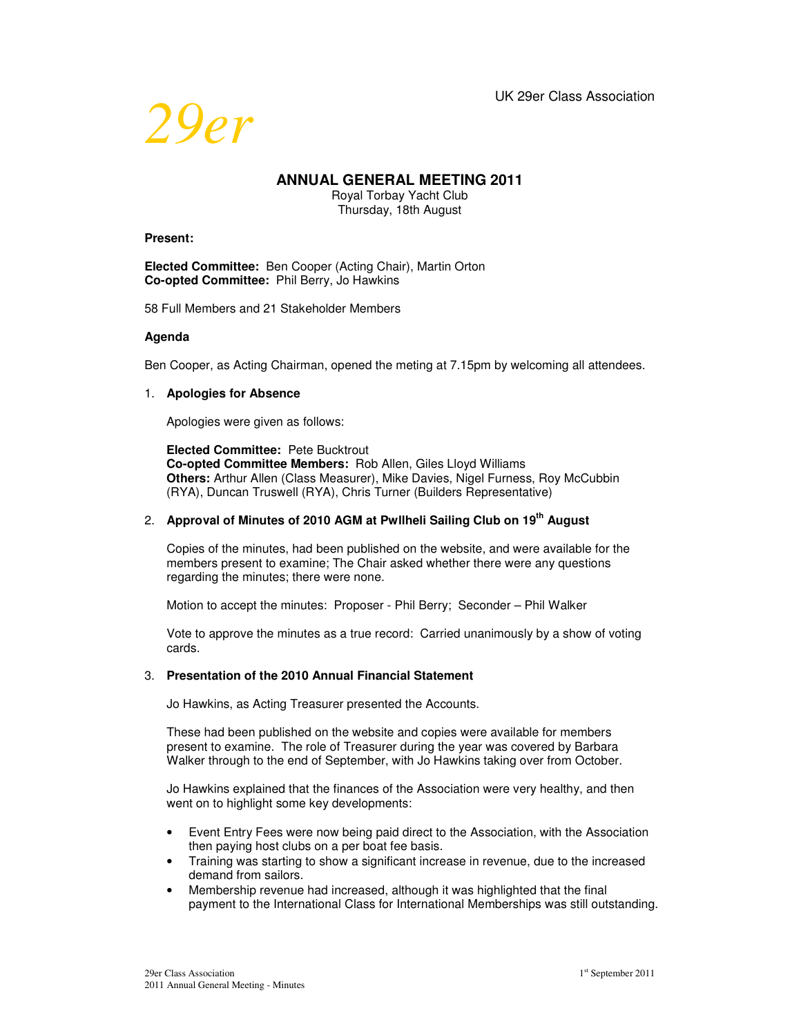

# **ANNUAL GENERAL MEETING 2011**

Royal Torbay Yacht Club Thursday, 18th August

#### **Present:**

**Elected Committee:** Ben Cooper (Acting Chair), Martin Orton **Co-opted Committee:** Phil Berry, Jo Hawkins

58 Full Members and 21 Stakeholder Members

#### **Agenda**

Ben Cooper, as Acting Chairman, opened the meting at 7.15pm by welcoming all attendees.

#### 1. **Apologies for Absence**

Apologies were given as follows:

**Elected Committee:** Pete Bucktrout **Co-opted Committee Members:** Rob Allen, Giles Lloyd Williams **Others:** Arthur Allen (Class Measurer), Mike Davies, Nigel Furness, Roy McCubbin (RYA), Duncan Truswell (RYA), Chris Turner (Builders Representative)

## 2. **Approval of Minutes of 2010 AGM at Pwllheli Sailing Club on 19th August**

Copies of the minutes, had been published on the website, and were available for the members present to examine; The Chair asked whether there were any questions regarding the minutes; there were none.

Motion to accept the minutes: Proposer - Phil Berry; Seconder – Phil Walker

Vote to approve the minutes as a true record: Carried unanimously by a show of voting cards.

## 3. **Presentation of the 2010 Annual Financial Statement**

Jo Hawkins, as Acting Treasurer presented the Accounts.

These had been published on the website and copies were available for members present to examine. The role of Treasurer during the year was covered by Barbara Walker through to the end of September, with Jo Hawkins taking over from October.

Jo Hawkins explained that the finances of the Association were very healthy, and then went on to highlight some key developments:

- Event Entry Fees were now being paid direct to the Association, with the Association then paying host clubs on a per boat fee basis.
- Training was starting to show a significant increase in revenue, due to the increased demand from sailors.
- Membership revenue had increased, although it was highlighted that the final payment to the International Class for International Memberships was still outstanding.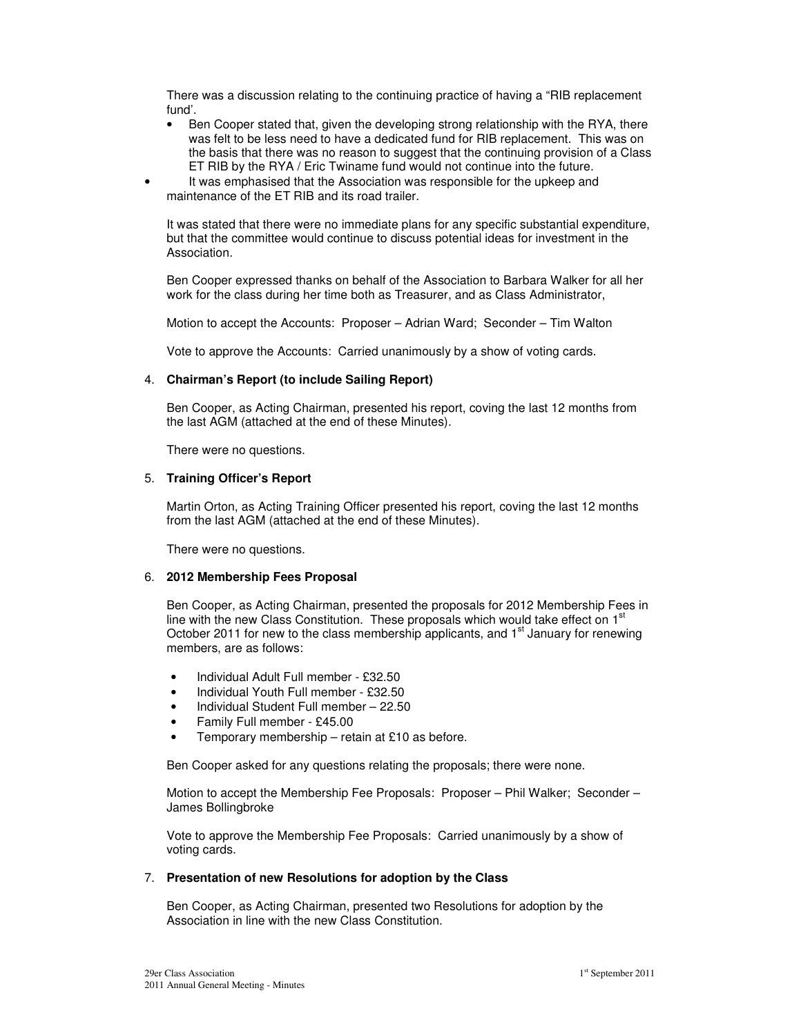There was a discussion relating to the continuing practice of having a "RIB replacement fund'.

- Ben Cooper stated that, given the developing strong relationship with the RYA, there was felt to be less need to have a dedicated fund for RIB replacement. This was on the basis that there was no reason to suggest that the continuing provision of a Class ET RIB by the RYA / Eric Twiname fund would not continue into the future.
- It was emphasised that the Association was responsible for the upkeep and maintenance of the ET RIB and its road trailer.

It was stated that there were no immediate plans for any specific substantial expenditure, but that the committee would continue to discuss potential ideas for investment in the Association.

Ben Cooper expressed thanks on behalf of the Association to Barbara Walker for all her work for the class during her time both as Treasurer, and as Class Administrator,

Motion to accept the Accounts: Proposer – Adrian Ward; Seconder – Tim Walton

Vote to approve the Accounts: Carried unanimously by a show of voting cards.

## 4. **Chairman's Report (to include Sailing Report)**

Ben Cooper, as Acting Chairman, presented his report, coving the last 12 months from the last AGM (attached at the end of these Minutes).

There were no questions.

## 5. **Training Officer's Report**

Martin Orton, as Acting Training Officer presented his report, coving the last 12 months from the last AGM (attached at the end of these Minutes).

There were no questions.

## 6. **2012 Membership Fees Proposal**

Ben Cooper, as Acting Chairman, presented the proposals for 2012 Membership Fees in line with the new Class Constitution. These proposals which would take effect on  $1<sup>st</sup>$ October 2011 for new to the class membership applicants, and 1<sup>st</sup> January for renewing members, are as follows:

- Individual Adult Full member £32.50
- Individual Youth Full member £32.50
- Individual Student Full member 22.50
- Family Full member £45.00
- Temporary membership retain at £10 as before.

Ben Cooper asked for any questions relating the proposals; there were none.

Motion to accept the Membership Fee Proposals: Proposer – Phil Walker; Seconder – James Bollingbroke

Vote to approve the Membership Fee Proposals: Carried unanimously by a show of voting cards.

## 7. **Presentation of new Resolutions for adoption by the Class**

Ben Cooper, as Acting Chairman, presented two Resolutions for adoption by the Association in line with the new Class Constitution.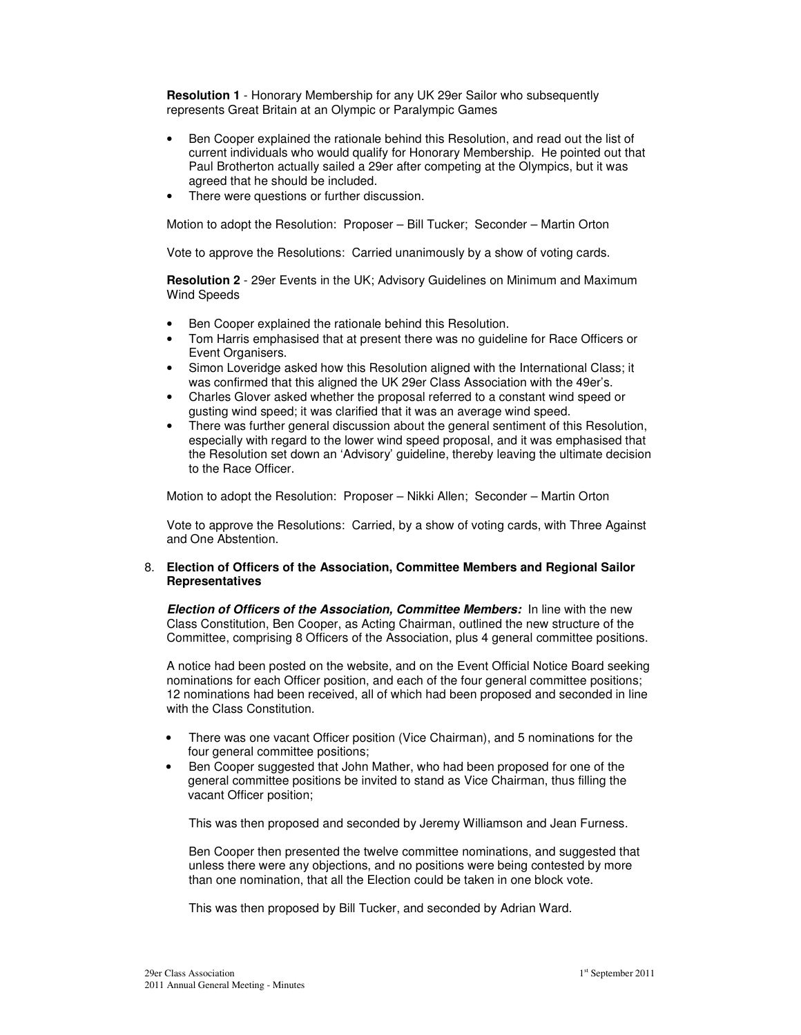**Resolution 1** - Honorary Membership for any UK 29er Sailor who subsequently represents Great Britain at an Olympic or Paralympic Games

- Ben Cooper explained the rationale behind this Resolution, and read out the list of current individuals who would qualify for Honorary Membership. He pointed out that Paul Brotherton actually sailed a 29er after competing at the Olympics, but it was agreed that he should be included.
- There were questions or further discussion.

Motion to adopt the Resolution: Proposer – Bill Tucker; Seconder – Martin Orton

Vote to approve the Resolutions: Carried unanimously by a show of voting cards.

**Resolution 2** - 29er Events in the UK; Advisory Guidelines on Minimum and Maximum Wind Speeds

- Ben Cooper explained the rationale behind this Resolution.
- Tom Harris emphasised that at present there was no guideline for Race Officers or Event Organisers.
- Simon Loveridge asked how this Resolution aligned with the International Class; it was confirmed that this aligned the UK 29er Class Association with the 49er's.
- Charles Glover asked whether the proposal referred to a constant wind speed or gusting wind speed; it was clarified that it was an average wind speed.
- There was further general discussion about the general sentiment of this Resolution, especially with regard to the lower wind speed proposal, and it was emphasised that the Resolution set down an 'Advisory' guideline, thereby leaving the ultimate decision to the Race Officer.

Motion to adopt the Resolution: Proposer – Nikki Allen; Seconder – Martin Orton

Vote to approve the Resolutions: Carried, by a show of voting cards, with Three Against and One Abstention.

## 8. **Election of Officers of the Association, Committee Members and Regional Sailor Representatives**

**Election of Officers of the Association, Committee Members:** In line with the new Class Constitution, Ben Cooper, as Acting Chairman, outlined the new structure of the Committee, comprising 8 Officers of the Association, plus 4 general committee positions.

A notice had been posted on the website, and on the Event Official Notice Board seeking nominations for each Officer position, and each of the four general committee positions; 12 nominations had been received, all of which had been proposed and seconded in line with the Class Constitution

- There was one vacant Officer position (Vice Chairman), and 5 nominations for the four general committee positions;
- Ben Cooper suggested that John Mather, who had been proposed for one of the general committee positions be invited to stand as Vice Chairman, thus filling the vacant Officer position;

This was then proposed and seconded by Jeremy Williamson and Jean Furness.

Ben Cooper then presented the twelve committee nominations, and suggested that unless there were any objections, and no positions were being contested by more than one nomination, that all the Election could be taken in one block vote.

This was then proposed by Bill Tucker, and seconded by Adrian Ward.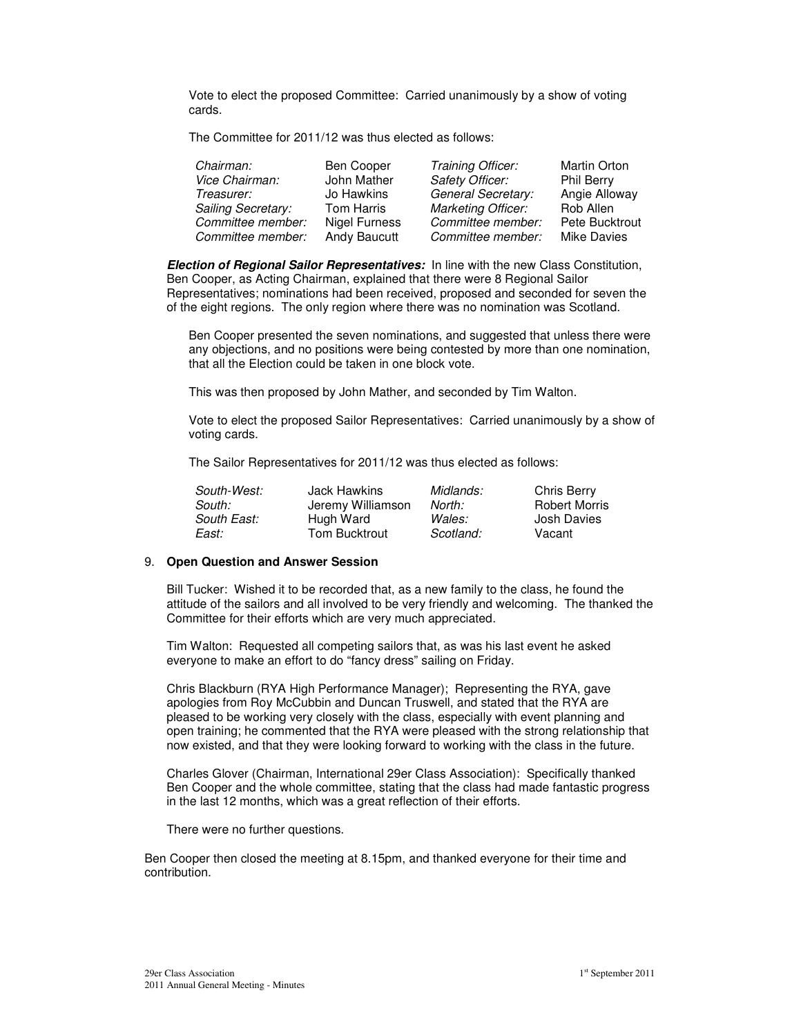Vote to elect the proposed Committee: Carried unanimously by a show of voting cards.

The Committee for 2011/12 was thus elected as follows:

| Chairman:          | Ben Cooper           | Training Officer:         | <b>Martin Orton</b> |
|--------------------|----------------------|---------------------------|---------------------|
| Vice Chairman:     | John Mather          | <b>Safety Officer:</b>    | <b>Phil Berry</b>   |
| Treasurer:         | Jo Hawkins           | General Secretary:        | Angie Alloway       |
| Sailing Secretary: | <b>Tom Harris</b>    | <b>Marketing Officer:</b> | Rob Allen           |
| Committee member:  | <b>Nigel Furness</b> | Committee member:         | Pete Bucktrout      |
| Committee member:  | Andy Baucutt         | Committee member:         | <b>Mike Davies</b>  |

**Election of Regional Sailor Representatives:** In line with the new Class Constitution, Ben Cooper, as Acting Chairman, explained that there were 8 Regional Sailor Representatives; nominations had been received, proposed and seconded for seven the of the eight regions. The only region where there was no nomination was Scotland.

Ben Cooper presented the seven nominations, and suggested that unless there were any objections, and no positions were being contested by more than one nomination, that all the Election could be taken in one block vote.

This was then proposed by John Mather, and seconded by Tim Walton.

Vote to elect the proposed Sailor Representatives: Carried unanimously by a show of voting cards.

The Sailor Representatives for 2011/12 was thus elected as follows:

| South-West: | Jack Hawkins      | Midlands: | Chris Berry          |
|-------------|-------------------|-----------|----------------------|
| South:      | Jeremy Williamson | North:    | <b>Robert Morris</b> |
| South East: | Hugh Ward         | Wales:    | Josh Davies          |
| East:       | Tom Bucktrout     | Scotland: | Vacant               |

## 9. **Open Question and Answer Session**

Bill Tucker: Wished it to be recorded that, as a new family to the class, he found the attitude of the sailors and all involved to be very friendly and welcoming. The thanked the Committee for their efforts which are very much appreciated.

Tim Walton: Requested all competing sailors that, as was his last event he asked everyone to make an effort to do "fancy dress" sailing on Friday.

Chris Blackburn (RYA High Performance Manager); Representing the RYA, gave apologies from Roy McCubbin and Duncan Truswell, and stated that the RYA are pleased to be working very closely with the class, especially with event planning and open training; he commented that the RYA were pleased with the strong relationship that now existed, and that they were looking forward to working with the class in the future.

Charles Glover (Chairman, International 29er Class Association): Specifically thanked Ben Cooper and the whole committee, stating that the class had made fantastic progress in the last 12 months, which was a great reflection of their efforts.

There were no further questions.

Ben Cooper then closed the meeting at 8.15pm, and thanked everyone for their time and contribution.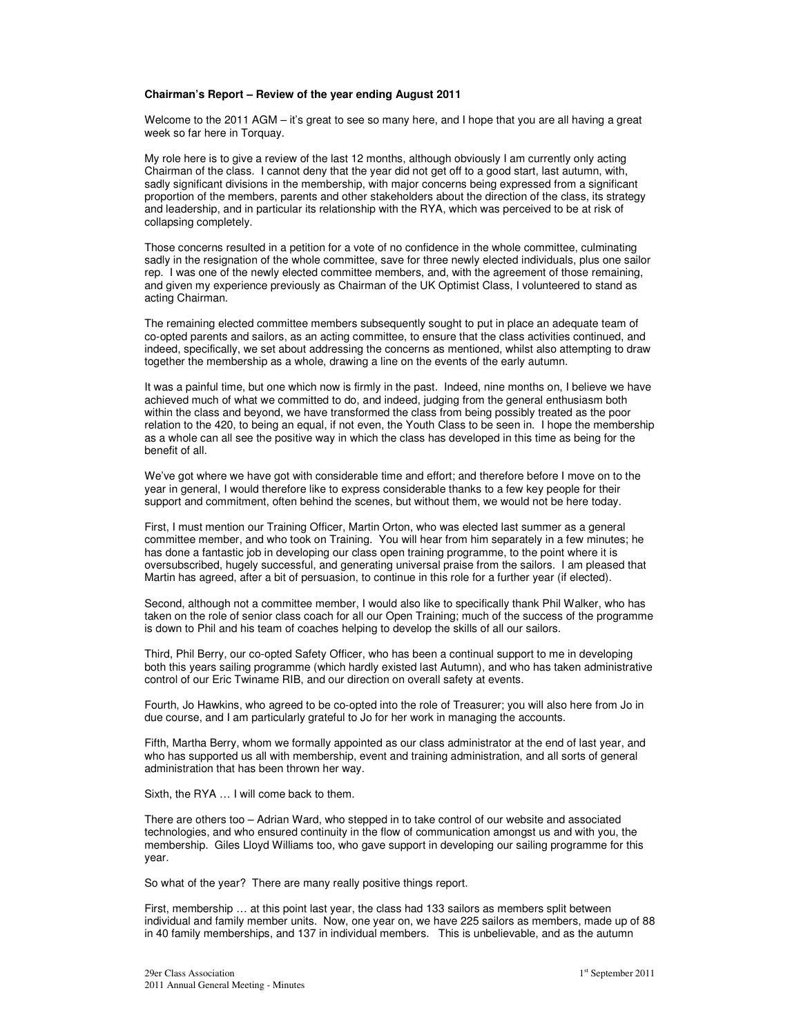#### **Chairman's Report – Review of the year ending August 2011**

Welcome to the 2011 AGM – it's great to see so many here, and I hope that you are all having a great week so far here in Torquay.

My role here is to give a review of the last 12 months, although obviously I am currently only acting Chairman of the class. I cannot deny that the year did not get off to a good start, last autumn, with, sadly significant divisions in the membership, with major concerns being expressed from a significant proportion of the members, parents and other stakeholders about the direction of the class, its strategy and leadership, and in particular its relationship with the RYA, which was perceived to be at risk of collapsing completely.

Those concerns resulted in a petition for a vote of no confidence in the whole committee, culminating sadly in the resignation of the whole committee, save for three newly elected individuals, plus one sailor rep. I was one of the newly elected committee members, and, with the agreement of those remaining, and given my experience previously as Chairman of the UK Optimist Class, I volunteered to stand as acting Chairman.

The remaining elected committee members subsequently sought to put in place an adequate team of co-opted parents and sailors, as an acting committee, to ensure that the class activities continued, and indeed, specifically, we set about addressing the concerns as mentioned, whilst also attempting to draw together the membership as a whole, drawing a line on the events of the early autumn.

It was a painful time, but one which now is firmly in the past. Indeed, nine months on, I believe we have achieved much of what we committed to do, and indeed, judging from the general enthusiasm both within the class and beyond, we have transformed the class from being possibly treated as the poor relation to the 420, to being an equal, if not even, the Youth Class to be seen in. I hope the membership as a whole can all see the positive way in which the class has developed in this time as being for the benefit of all.

We've got where we have got with considerable time and effort; and therefore before I move on to the year in general, I would therefore like to express considerable thanks to a few key people for their support and commitment, often behind the scenes, but without them, we would not be here today.

First, I must mention our Training Officer, Martin Orton, who was elected last summer as a general committee member, and who took on Training. You will hear from him separately in a few minutes; he has done a fantastic job in developing our class open training programme, to the point where it is oversubscribed, hugely successful, and generating universal praise from the sailors. I am pleased that Martin has agreed, after a bit of persuasion, to continue in this role for a further year (if elected).

Second, although not a committee member, I would also like to specifically thank Phil Walker, who has taken on the role of senior class coach for all our Open Training; much of the success of the programme is down to Phil and his team of coaches helping to develop the skills of all our sailors.

Third, Phil Berry, our co-opted Safety Officer, who has been a continual support to me in developing both this years sailing programme (which hardly existed last Autumn), and who has taken administrative control of our Eric Twiname RIB, and our direction on overall safety at events.

Fourth, Jo Hawkins, who agreed to be co-opted into the role of Treasurer; you will also here from Jo in due course, and I am particularly grateful to Jo for her work in managing the accounts.

Fifth, Martha Berry, whom we formally appointed as our class administrator at the end of last year, and who has supported us all with membership, event and training administration, and all sorts of general administration that has been thrown her way.

Sixth, the RYA … I will come back to them.

There are others too – Adrian Ward, who stepped in to take control of our website and associated technologies, and who ensured continuity in the flow of communication amongst us and with you, the membership. Giles Lloyd Williams too, who gave support in developing our sailing programme for this year.

So what of the year? There are many really positive things report.

First, membership … at this point last year, the class had 133 sailors as members split between individual and family member units. Now, one year on, we have 225 sailors as members, made up of 88 in 40 family memberships, and 137 in individual members. This is unbelievable, and as the autumn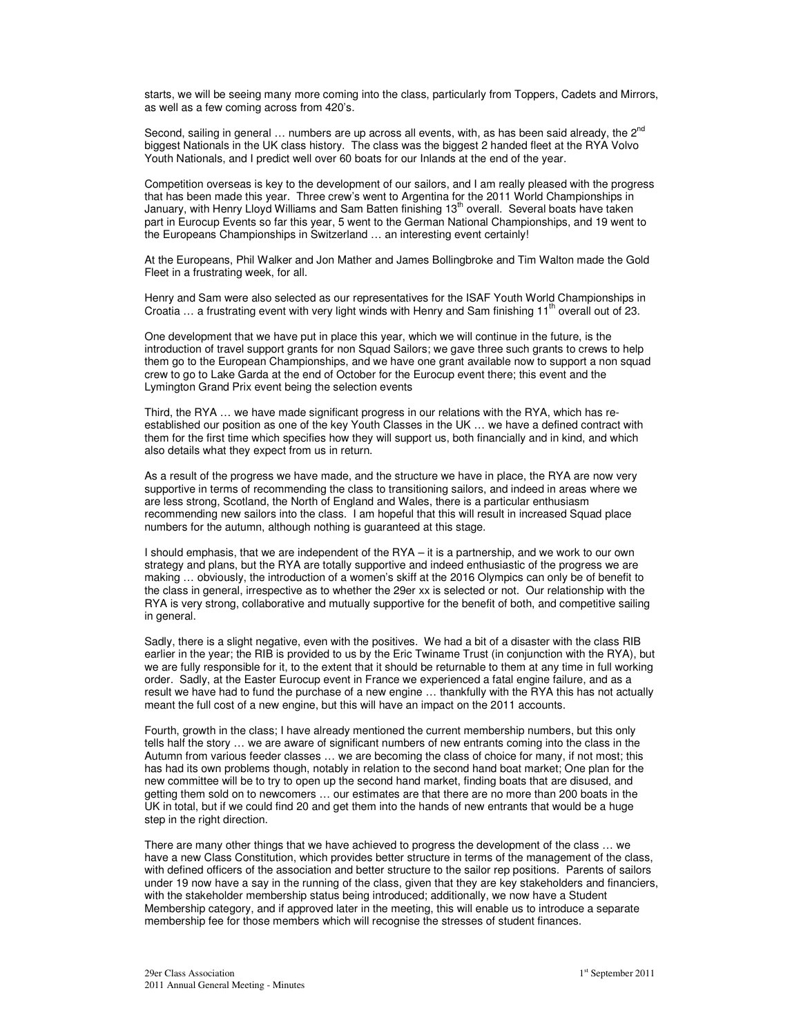starts, we will be seeing many more coming into the class, particularly from Toppers, Cadets and Mirrors, as well as a few coming across from 420's.

Second, sailing in general  $\ldots$  numbers are up across all events, with, as has been said already, the 2<sup>nd</sup> biggest Nationals in the UK class history. The class was the biggest 2 handed fleet at the RYA Volvo Youth Nationals, and I predict well over 60 boats for our Inlands at the end of the year.

Competition overseas is key to the development of our sailors, and I am really pleased with the progress that has been made this year. Three crew's went to Argentina for the 2011 World Championships in January, with Henry Lloyd Williams and Sam Batten finishing 13<sup>th</sup> overall. Several boats have taken part in Eurocup Events so far this year, 5 went to the German National Championships, and 19 went to the Europeans Championships in Switzerland … an interesting event certainly!

At the Europeans, Phil Walker and Jon Mather and James Bollingbroke and Tim Walton made the Gold Fleet in a frustrating week, for all.

Henry and Sam were also selected as our representatives for the ISAF Youth World Championships in Croatia ... a frustrating event with very light winds with Henry and Sam finishing 11<sup>th</sup> overall out of 23.

One development that we have put in place this year, which we will continue in the future, is the introduction of travel support grants for non Squad Sailors; we gave three such grants to crews to help them go to the European Championships, and we have one grant available now to support a non squad crew to go to Lake Garda at the end of October for the Eurocup event there; this event and the Lymington Grand Prix event being the selection events

Third, the RYA … we have made significant progress in our relations with the RYA, which has reestablished our position as one of the key Youth Classes in the UK … we have a defined contract with them for the first time which specifies how they will support us, both financially and in kind, and which also details what they expect from us in return.

As a result of the progress we have made, and the structure we have in place, the RYA are now very supportive in terms of recommending the class to transitioning sailors, and indeed in areas where we are less strong, Scotland, the North of England and Wales, there is a particular enthusiasm recommending new sailors into the class. I am hopeful that this will result in increased Squad place numbers for the autumn, although nothing is guaranteed at this stage.

I should emphasis, that we are independent of the RYA – it is a partnership, and we work to our own strategy and plans, but the RYA are totally supportive and indeed enthusiastic of the progress we are making … obviously, the introduction of a women's skiff at the 2016 Olympics can only be of benefit to the class in general, irrespective as to whether the 29er xx is selected or not. Our relationship with the RYA is very strong, collaborative and mutually supportive for the benefit of both, and competitive sailing in general.

Sadly, there is a slight negative, even with the positives. We had a bit of a disaster with the class RIB earlier in the year; the RIB is provided to us by the Eric Twiname Trust (in conjunction with the RYA), but we are fully responsible for it, to the extent that it should be returnable to them at any time in full working order. Sadly, at the Easter Eurocup event in France we experienced a fatal engine failure, and as a result we have had to fund the purchase of a new engine … thankfully with the RYA this has not actually meant the full cost of a new engine, but this will have an impact on the 2011 accounts.

Fourth, growth in the class; I have already mentioned the current membership numbers, but this only tells half the story … we are aware of significant numbers of new entrants coming into the class in the Autumn from various feeder classes … we are becoming the class of choice for many, if not most; this has had its own problems though, notably in relation to the second hand boat market; One plan for the new committee will be to try to open up the second hand market, finding boats that are disused, and getting them sold on to newcomers … our estimates are that there are no more than 200 boats in the UK in total, but if we could find 20 and get them into the hands of new entrants that would be a huge step in the right direction.

There are many other things that we have achieved to progress the development of the class … we have a new Class Constitution, which provides better structure in terms of the management of the class, with defined officers of the association and better structure to the sailor rep positions. Parents of sailors under 19 now have a say in the running of the class, given that they are key stakeholders and financiers, with the stakeholder membership status being introduced; additionally, we now have a Student Membership category, and if approved later in the meeting, this will enable us to introduce a separate membership fee for those members which will recognise the stresses of student finances.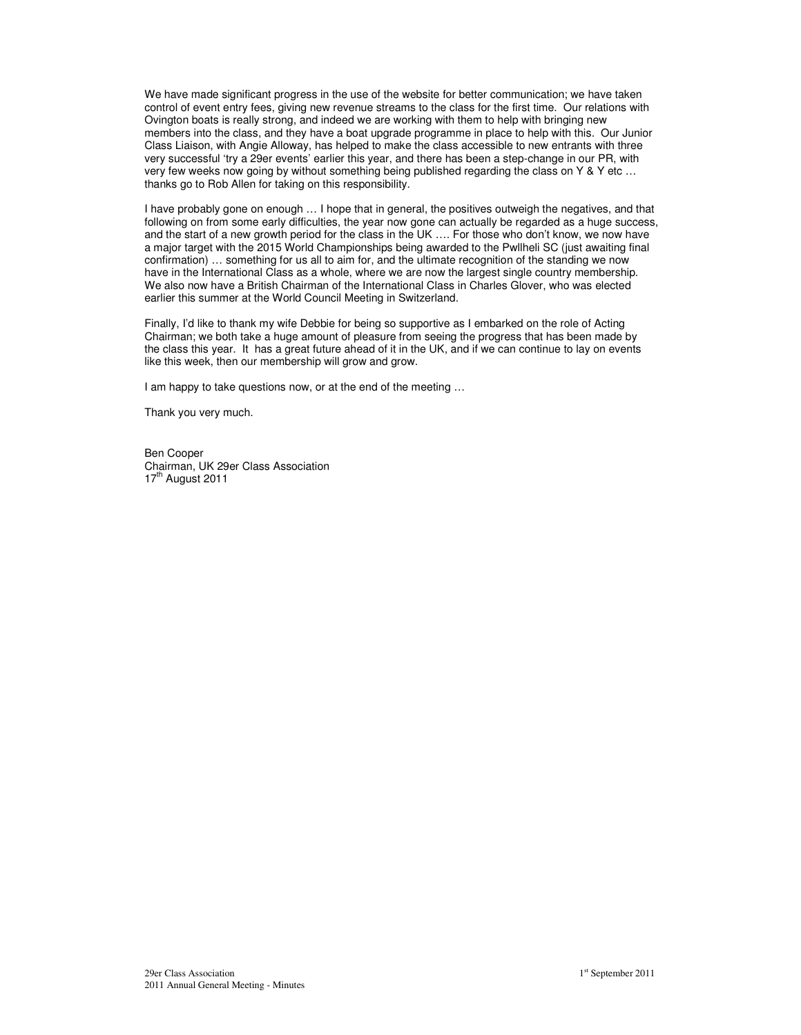We have made significant progress in the use of the website for better communication; we have taken control of event entry fees, giving new revenue streams to the class for the first time. Our relations with Ovington boats is really strong, and indeed we are working with them to help with bringing new members into the class, and they have a boat upgrade programme in place to help with this. Our Junior Class Liaison, with Angie Alloway, has helped to make the class accessible to new entrants with three very successful 'try a 29er events' earlier this year, and there has been a step-change in our PR, with very few weeks now going by without something being published regarding the class on Y & Y etc ... thanks go to Rob Allen for taking on this responsibility.

I have probably gone on enough … I hope that in general, the positives outweigh the negatives, and that following on from some early difficulties, the year now gone can actually be regarded as a huge success, and the start of a new growth period for the class in the UK …. For those who don't know, we now have a major target with the 2015 World Championships being awarded to the Pwllheli SC (just awaiting final confirmation) … something for us all to aim for, and the ultimate recognition of the standing we now have in the International Class as a whole, where we are now the largest single country membership. We also now have a British Chairman of the International Class in Charles Glover, who was elected earlier this summer at the World Council Meeting in Switzerland.

Finally, I'd like to thank my wife Debbie for being so supportive as I embarked on the role of Acting Chairman; we both take a huge amount of pleasure from seeing the progress that has been made by the class this year. It has a great future ahead of it in the UK, and if we can continue to lay on events like this week, then our membership will grow and grow.

I am happy to take questions now, or at the end of the meeting ...

Thank you very much.

Ben Cooper Chairman, UK 29er Class Association  $17<sup>tn</sup>$  August 2011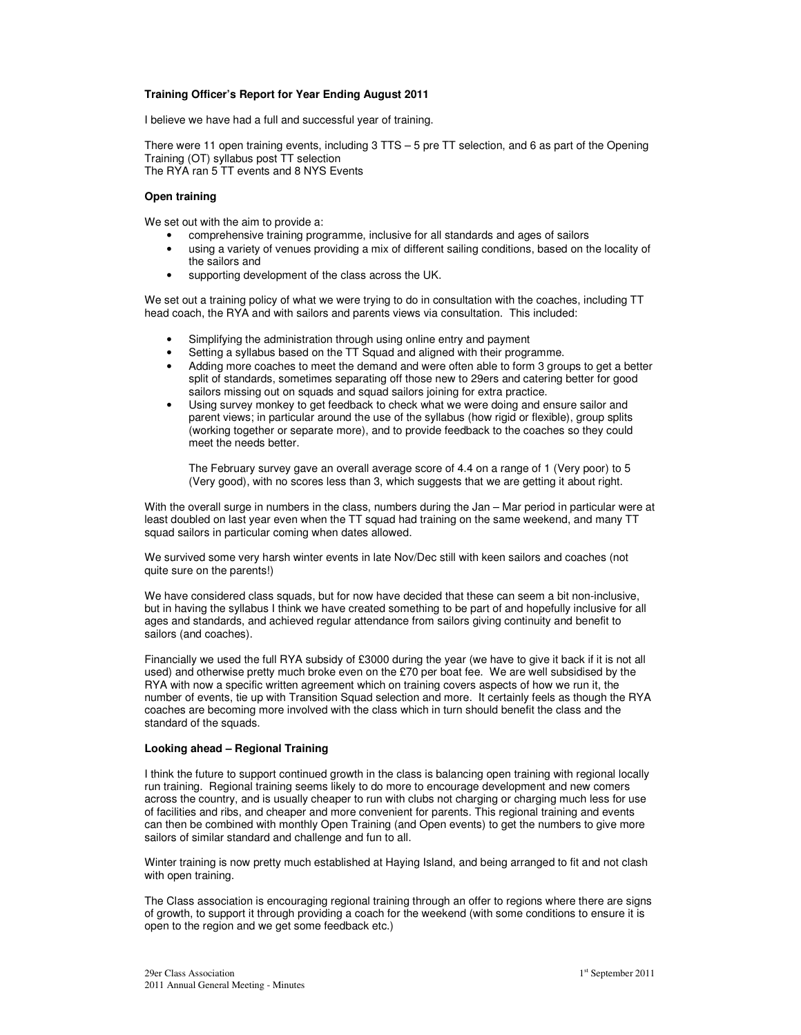#### **Training Officer's Report for Year Ending August 2011**

I believe we have had a full and successful year of training.

There were 11 open training events, including 3 TTS – 5 pre TT selection, and 6 as part of the Opening Training (OT) syllabus post TT selection The RYA ran 5 TT events and 8 NYS Events

#### **Open training**

We set out with the aim to provide a:

- comprehensive training programme, inclusive for all standards and ages of sailors
- using a variety of venues providing a mix of different sailing conditions, based on the locality of the sailors and
- supporting development of the class across the UK.

We set out a training policy of what we were trying to do in consultation with the coaches, including TT head coach, the RYA and with sailors and parents views via consultation. This included:

- Simplifying the administration through using online entry and payment
- Setting a syllabus based on the TT Squad and aligned with their programme.
- Adding more coaches to meet the demand and were often able to form 3 groups to get a better split of standards, sometimes separating off those new to 29ers and catering better for good sailors missing out on squads and squad sailors joining for extra practice.
- Using survey monkey to get feedback to check what we were doing and ensure sailor and parent views; in particular around the use of the syllabus (how rigid or flexible), group splits (working together or separate more), and to provide feedback to the coaches so they could meet the needs better.

The February survey gave an overall average score of 4.4 on a range of 1 (Very poor) to 5 (Very good), with no scores less than 3, which suggests that we are getting it about right.

With the overall surge in numbers in the class, numbers during the Jan – Mar period in particular were at least doubled on last year even when the TT squad had training on the same weekend, and many TT squad sailors in particular coming when dates allowed.

We survived some very harsh winter events in late Nov/Dec still with keen sailors and coaches (not quite sure on the parents!)

We have considered class squads, but for now have decided that these can seem a bit non-inclusive, but in having the syllabus I think we have created something to be part of and hopefully inclusive for all ages and standards, and achieved regular attendance from sailors giving continuity and benefit to sailors (and coaches).

Financially we used the full RYA subsidy of £3000 during the year (we have to give it back if it is not all used) and otherwise pretty much broke even on the £70 per boat fee. We are well subsidised by the RYA with now a specific written agreement which on training covers aspects of how we run it, the number of events, tie up with Transition Squad selection and more. It certainly feels as though the RYA coaches are becoming more involved with the class which in turn should benefit the class and the standard of the squads.

#### **Looking ahead – Regional Training**

I think the future to support continued growth in the class is balancing open training with regional locally run training. Regional training seems likely to do more to encourage development and new comers across the country, and is usually cheaper to run with clubs not charging or charging much less for use of facilities and ribs, and cheaper and more convenient for parents. This regional training and events can then be combined with monthly Open Training (and Open events) to get the numbers to give more sailors of similar standard and challenge and fun to all.

Winter training is now pretty much established at Haying Island, and being arranged to fit and not clash with open training.

The Class association is encouraging regional training through an offer to regions where there are signs of growth, to support it through providing a coach for the weekend (with some conditions to ensure it is open to the region and we get some feedback etc.)